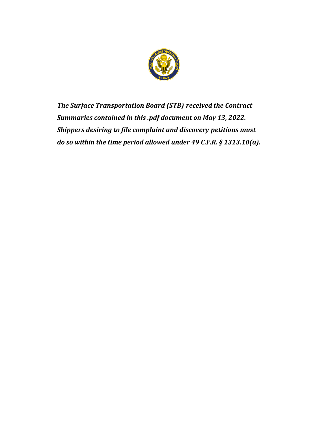

*The Surface Transportation Board (STB) received the Contract Summaries contained in this .pdf document on May 13, 2022. Shippers desiring to file complaint and discovery petitions must do so within the time period allowed under 49 C.F.R. § 1313.10(a).*